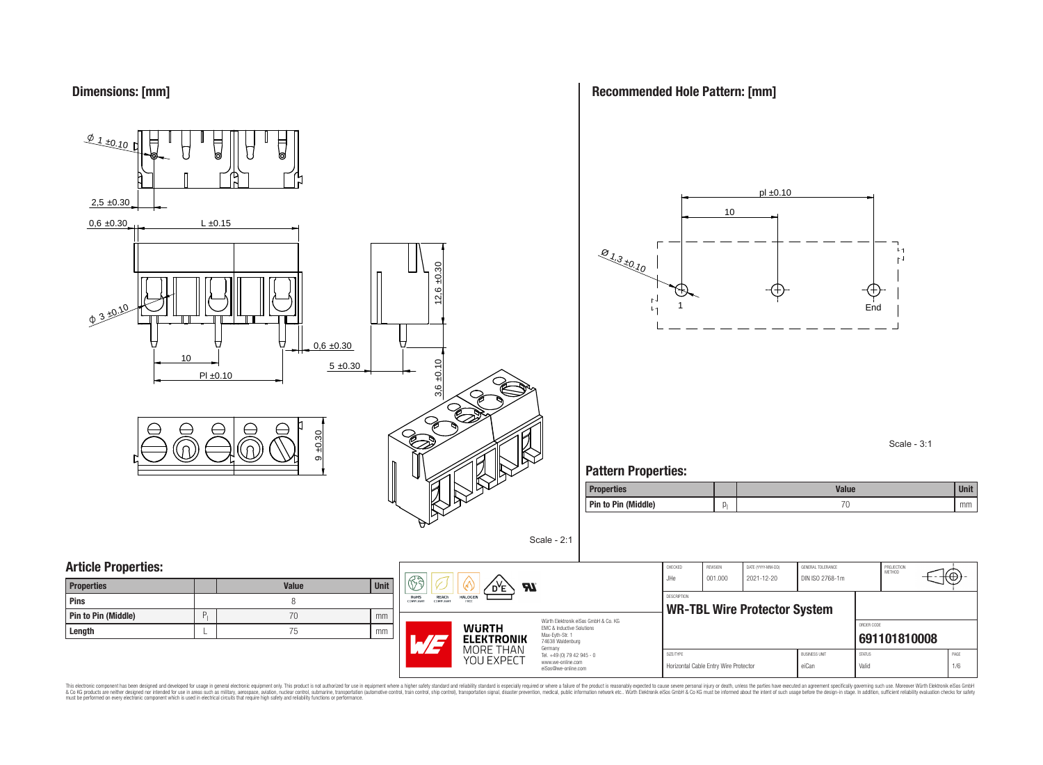

**Recommended Hole Pattern: [mm]**



Scale - 3:1

### **Pattern Properties:**

| <b>Properties</b>   |     | Value | <b>Ilnit</b><br>vm |
|---------------------|-----|-------|--------------------|
| Pin to Pin (Middle) | IJ. | ◡     | mm                 |

| <b>Properties</b>          |   | <b>Value</b> | <b>Unit</b> |
|----------------------------|---|--------------|-------------|
| <b>Pins</b>                |   |              |             |
| <b>Pin to Pin (Middle)</b> | P | 70           | mm          |
| Length                     |   | 75           | mm          |



Würth Elektronik eiSos GmbH & Co. KG EMC & Inductive Solutions Max-Eyth-Str. 1 74638 Waldenburg Germany Tel. +49 (0) 79 42 945 - 0 www.we-online.com

eiSos@we-online.com

Scale - 2:1

| CHECKED<br>JHe.    | <b>REVISION</b><br>001.000            | DATE (YYYY-MM-DD)<br>2021-12-20     | GENERAL TOLERANCE<br>DIN ISO 2768-1m |               | PROJECTION<br>MFTHOD |      |  |  |  |
|--------------------|---------------------------------------|-------------------------------------|--------------------------------------|---------------|----------------------|------|--|--|--|
| <b>DESCRIPTION</b> |                                       |                                     |                                      |               |                      |      |  |  |  |
|                    |                                       | <b>WR-TBL Wire Protector System</b> |                                      |               |                      |      |  |  |  |
|                    |                                       |                                     |                                      | ORDER CODE    |                      |      |  |  |  |
|                    |                                       |                                     |                                      | 691101810008  |                      |      |  |  |  |
| SIZE/TYPE          |                                       |                                     | <b>BLISINESS LINIT</b>               | <b>STATUS</b> |                      | PAGE |  |  |  |
|                    | Horizontal Cable Entry Wire Protector |                                     | eiCan                                | Valid         |                      | 1/6  |  |  |  |

This electronic component has been designed and developed for usage in general electronic equipment only. This product is not authorized for subserved requipment where a higher selection equipment where a higher selection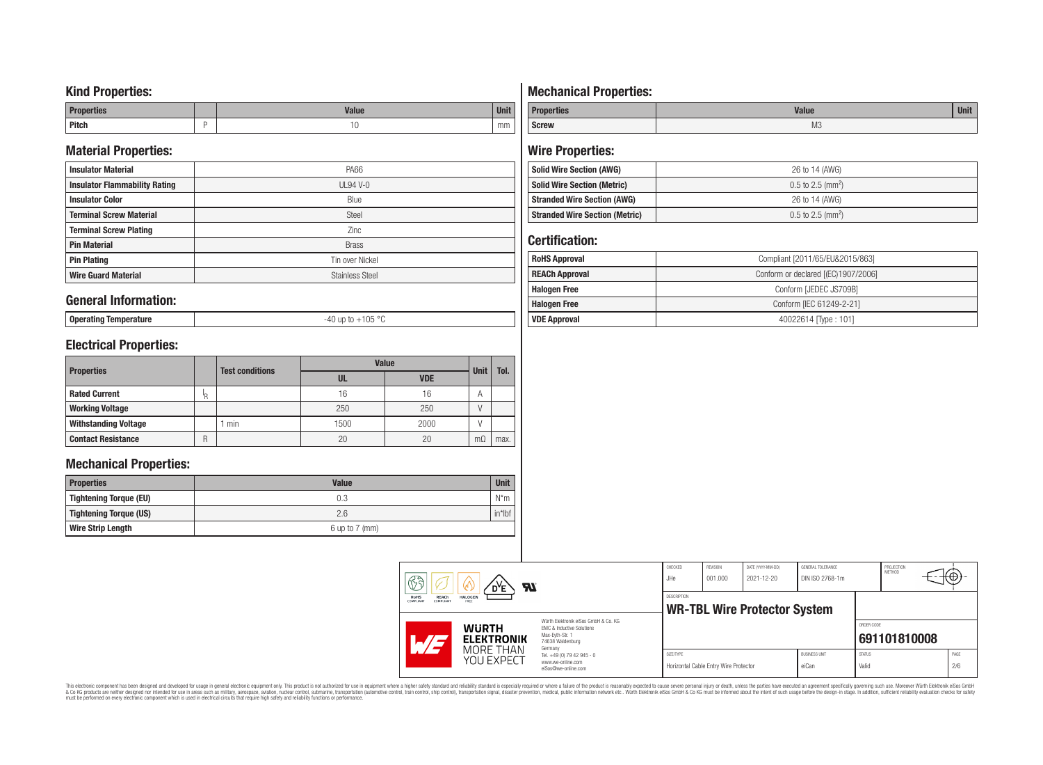### **Kind Properties:**

| <b>Properties</b> |   | <b>Moline</b><br>"dluc- | <b>Unit</b> |
|-------------------|---|-------------------------|-------------|
| <b>Pitch</b>      | - | טו                      | mm          |

### **Material Properties:**

| <b>Insulator Material</b>            | PA66                   |
|--------------------------------------|------------------------|
| <b>Insulator Flammability Rating</b> | $UL94V-0$              |
| <b>Insulator Color</b>               | Blue                   |
| <b>Terminal Screw Material</b>       | <b>Steel</b>           |
| <b>Terminal Screw Plating</b>        | Zinc                   |
| <b>Pin Material</b>                  | <b>Brass</b>           |
| <b>Pin Plating</b>                   | Tin over Nickel        |
| <b>Wire Guard Material</b>           | <b>Stainless Steel</b> |

### **General Information:**

**Operating Temperature** -40 up to +105 °C

### **Electrical Properties:**

|                             |     | <b>Test conditions</b> | <b>Value</b> | <b>Unit</b> | Tol.      |      |
|-----------------------------|-----|------------------------|--------------|-------------|-----------|------|
| <b>Properties</b>           |     | UL                     | <b>VDE</b>   |             |           |      |
| <b>Rated Current</b>        | ΙŖ. |                        | 16           | 16          | А         |      |
| <b>Working Voltage</b>      |     |                        | 250          | 250         | ν         |      |
| <b>Withstanding Voltage</b> |     | min                    | 1500         | 2000        |           |      |
| <b>Contact Resistance</b>   | R   |                        | 20           | 20          | $m\Omega$ | max. |

### **Mechanical Properties:**

| <b>Properties</b>        | <b>Value</b>       | <b>Unit</b> |
|--------------------------|--------------------|-------------|
| Tightening Torque (EU)   | 0.3                | $N^*m$      |
| Tightening Torque (US)   | 2.6                | $in*$ Ibf   |
| <b>Wire Strip Length</b> | $6$ up to $7$ (mm) |             |

## **Mechanical Properties:**

| <b>Properties</b> | <b>Value</b>   | <b>Unit</b> |
|-------------------|----------------|-------------|
| <b>Screw</b>      | M <sub>3</sub> |             |

### **Wire Properties:**

| <b>Solid Wire Section (AWG)</b>       | 26 to 14 (AWG)                  |
|---------------------------------------|---------------------------------|
| <b>Solid Wire Section (Metric)</b>    | $0.5$ to 2.5 (mm <sup>2</sup> ) |
| <b>Stranded Wire Section (AWG)</b>    | 26 to 14 (AWG)                  |
| <b>Stranded Wire Section (Metric)</b> | $0.5$ to 2.5 (mm <sup>2</sup> ) |

### **Certification:**

| <b>RoHS Approval</b>  | Compliant [2011/65/EU&2015/863]     |  |  |
|-----------------------|-------------------------------------|--|--|
| <b>REACh Approval</b> | Conform or declared [(EC)1907/2006] |  |  |
| <b>Halogen Free</b>   | Conform [JEDEC JS709B]              |  |  |
| <b>Halogen Free</b>   | Conform [IEC 61249-2-21]            |  |  |
| <b>VDE Approval</b>   | 40022614 Type: 101]                 |  |  |

| H<br><b>Al</b><br><b>REACh</b><br><b>HALOGEN</b><br><b>RoHS</b><br>COMPLIANT<br>COMPLIANT<br>FREE<br>Würth Elektronik eiSos GmbH & Co. KG<br><b>WURTH</b><br>EMC & Inductive Solutions |                                                                                                   | CHECKED<br>JHe     | <b>REVISION</b><br>001.000            | DATE (YYYY-MM-DD)<br>2021-12-20     | GENERAL TOLERANCE<br>DIN ISO 2768-1m |               | PROJECTION<br>METHOD | ΨΘ.  |
|----------------------------------------------------------------------------------------------------------------------------------------------------------------------------------------|---------------------------------------------------------------------------------------------------|--------------------|---------------------------------------|-------------------------------------|--------------------------------------|---------------|----------------------|------|
|                                                                                                                                                                                        |                                                                                                   | <b>DESCRIPTION</b> |                                       | <b>WR-TBL Wire Protector System</b> |                                      | ORDER CODE    |                      |      |
| <b>ELEKTRONIK</b><br>MORE THAN<br>YOU EXPECT                                                                                                                                           | Max-Evth-Str. 1<br>74638 Waldenburg<br>Germany<br>Tel. +49 (0) 79 42 945 - 0<br>www.we-online.com | SIZE/TYPE          |                                       |                                     | <b>BUSINESS UNIT</b>                 | <b>STATUS</b> | 691101810008         | PAGE |
|                                                                                                                                                                                        | eiSos@we-online.com                                                                               |                    | Horizontal Cable Entry Wire Protector |                                     | eiCan                                | Valid         |                      | 2/6  |

This electronic component has been designed and developed for usage in general electronic equipment only. This product is not authorized for subserved requipment where a higher selection equipment where a higher selection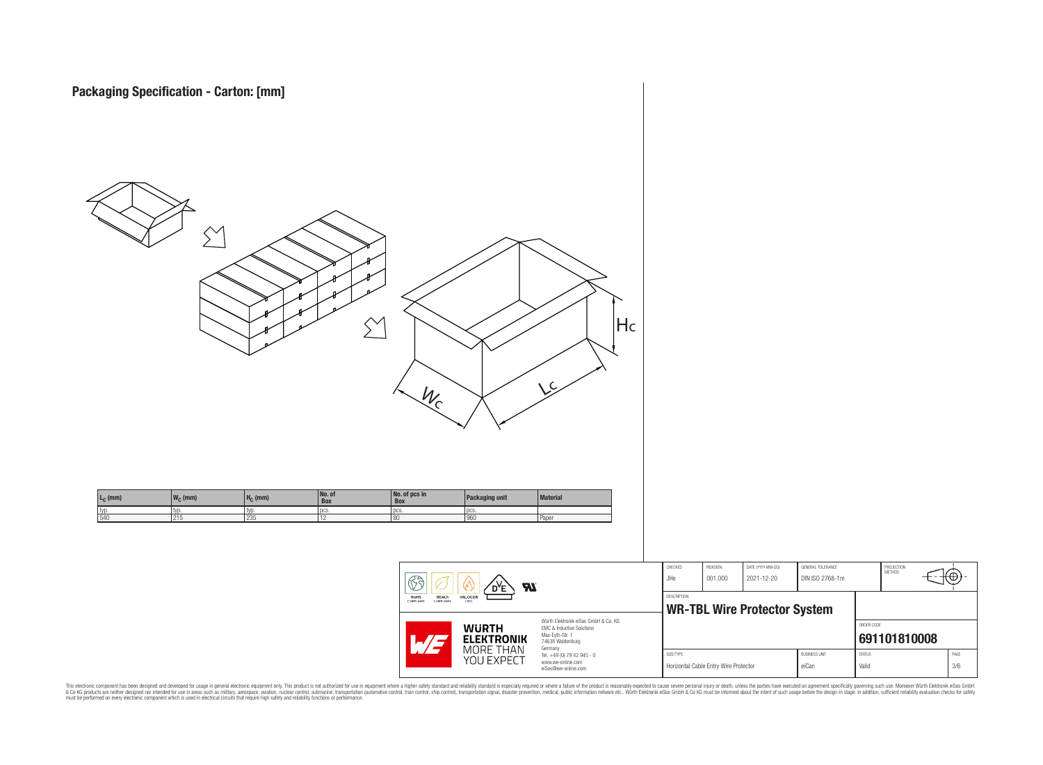

This electronic component has been designed and developed for usage in general electronic equipment only. This product is not authorized for subserved requipment where a higher selection equipment where a higher selection

PROJECTION<br>METHOD

ю

**[691101810008](https://www.we-online.com/catalog/en/article/691101810008)**

ORDER CODE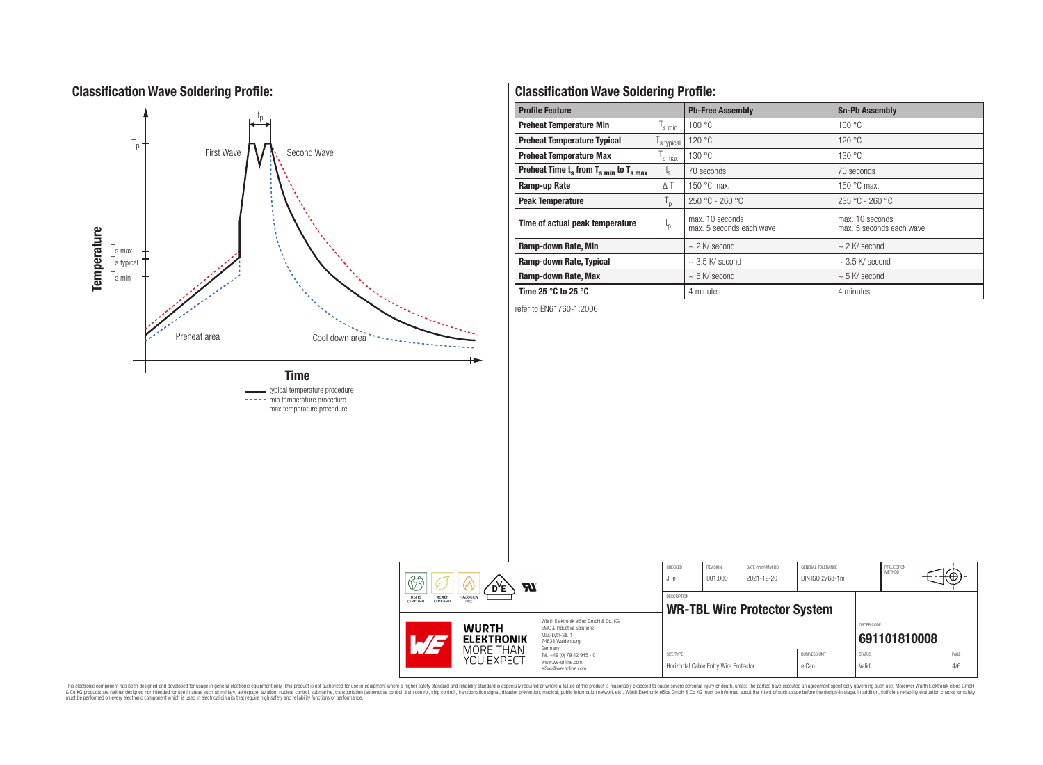### **Classification Wave Soldering Profile:**



# **Classification Wave Soldering Profile:**

| <b>Profile Feature</b>                                               |                    | <b>Pb-Free Assembly</b>                     | <b>Sn-Pb Assembly</b>                       |  |
|----------------------------------------------------------------------|--------------------|---------------------------------------------|---------------------------------------------|--|
| <b>Preheat Temperature Min</b>                                       | <sup>I</sup> s min | 100 °C                                      | 100 °C                                      |  |
| <b>Preheat Temperature Typical</b>                                   | s typical          | 120 °C                                      | 120 °C                                      |  |
| <b>Preheat Temperature Max</b>                                       | 's max             | 130 °C                                      | 130 °C                                      |  |
| Preheat Time $t_s$ from $T_s$ <sub>min</sub> to $T_s$ <sub>max</sub> | $t_{\rm s}$        | 70 seconds                                  | 70 seconds                                  |  |
| Ramp-up Rate                                                         | $\Delta T$         | 150 $\degree$ C max.                        | 150 $\degree$ C max.                        |  |
| <b>Peak Temperature</b>                                              | $T_{\mathsf{D}}$   | $250 °C - 260 °C$                           | 235 °C - 260 °C                             |  |
| Time of actual peak temperature                                      | $t_{p}$            | max. 10 seconds<br>max. 5 seconds each wave | max. 10 seconds<br>max. 5 seconds each wave |  |
| Ramp-down Rate, Min                                                  |                    | $\sim$ 2 K/ second                          | $\sim$ 2 K/ second                          |  |
| Ramp-down Rate, Typical                                              |                    | $\sim$ 3.5 K/ second                        | $\sim$ 3.5 K/ second                        |  |
| Ramp-down Rate, Max                                                  |                    | $\sim$ 5 K/ second                          | $\sim$ 5 K/ second                          |  |
| Time 25 $^{\circ}$ C to 25 $^{\circ}$ C                              |                    | 4 minutes                                   | 4 minutes                                   |  |

refer to EN61760-1:2006

|  | 63<br>Яľ<br>D <sup>Y</sup> E<br><b>REACh</b><br>RoHS<br><b>HALOGEN</b><br>COMPLIANT<br>COMPLIAN<br>FREE |                                                                                                                     | CHECKED<br>JHe | REVISION<br>DATE (YYYY-MM-DD)<br>GENERAL TOLERANCE<br>DIN ISO 2768-1m<br>001.000<br>2021-12-20 |  |                               | PROJECTION<br>METHOD   |              |  |             |
|--|---------------------------------------------------------------------------------------------------------|---------------------------------------------------------------------------------------------------------------------|----------------|------------------------------------------------------------------------------------------------|--|-------------------------------|------------------------|--------------|--|-------------|
|  |                                                                                                         |                                                                                                                     | DESCRIPTION    | <b>WR-TBL Wire Protector System</b>                                                            |  |                               |                        |              |  |             |
|  | <b>WURTH</b><br><b>ELEKTRONIK</b><br>$\mathcal{L}/\mathcal{L}$                                          | Würth Flektronik eiSos GmbH & Co. KG<br>FMC & Inductive Solutions<br>Max-Eyth-Str. 1<br>74638 Waldenburg<br>Germany |                |                                                                                                |  |                               | ORDER CODE             | 691101810008 |  |             |
|  | MORE THAN<br>YOU EXPECT                                                                                 | Tel. +49 (0) 79 42 945 - 0<br>www.we-online.com<br>eiSos@we-online.com                                              | SIZE/TYPE      | Horizontal Cable Entry Wire Protector                                                          |  | <b>BUSINESS UNIT</b><br>eiCan | <b>STATUS</b><br>Valid |              |  | PAGE<br>4/6 |

This electronic component has been designed and developed for usage in general electronic equipment only. This product is not authorized for subserved requipment where a higher selection equipment where a higher selection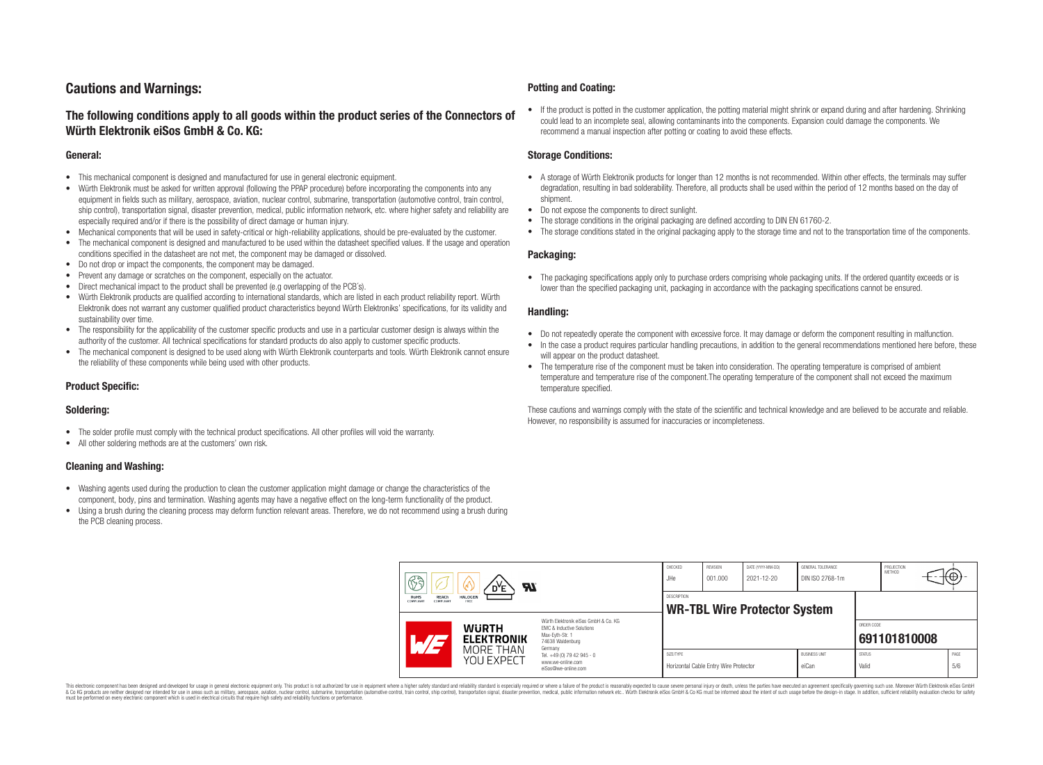### **Cautions and Warnings:**

### **The following conditions apply to all goods within the product series of the Connectors of Würth Elektronik eiSos GmbH & Co. KG:**

#### **General:**

- This mechanical component is designed and manufactured for use in general electronic equipment.
- Würth Elektronik must be asked for written approval (following the PPAP procedure) before incorporating the components into any equipment in fields such as military, aerospace, aviation, nuclear control, submarine, transportation (automotive control, train control, ship control), transportation signal, disaster prevention, medical, public information network, etc. where higher safety and reliability are especially required and/or if there is the possibility of direct damage or human injury.
- Mechanical components that will be used in safety-critical or high-reliability applications, should be pre-evaluated by the customer.
- The mechanical component is designed and manufactured to be used within the datasheet specified values. If the usage and operation conditions specified in the datasheet are not met, the component may be damaged or dissolved.
- Do not drop or impact the components, the component may be damaged.
- Prevent any damage or scratches on the component, especially on the actuator.
- Direct mechanical impact to the product shall be prevented (e.g overlapping of the PCB's).
- Würth Elektronik products are qualified according to international standards, which are listed in each product reliability report. Würth Elektronik does not warrant any customer qualified product characteristics beyond Würth Elektroniks' specifications, for its validity and sustainability over time.
- The responsibility for the applicability of the customer specific products and use in a particular customer design is always within the authority of the customer. All technical specifications for standard products do also apply to customer specific products.
- The mechanical component is designed to be used along with Würth Elektronik counterparts and tools. Würth Elektronik cannot ensure the reliability of these components while being used with other products.

#### **Product Specific:**

#### **Soldering:**

- The solder profile must comply with the technical product specifications. All other profiles will void the warranty.
- All other soldering methods are at the customers' own risk.

#### **Cleaning and Washing:**

- Washing agents used during the production to clean the customer application might damage or change the characteristics of the component, body, pins and termination. Washing agents may have a negative effect on the long-term functionality of the product.
- Using a brush during the cleaning process may deform function relevant areas. Therefore, we do not recommend using a brush during the PCB cleaning process.

#### **Potting and Coating:**

• If the product is potted in the customer application, the potting material might shrink or expand during and after hardening. Shrinking could lead to an incomplete seal, allowing contaminants into the components. Expansion could damage the components. We recommend a manual inspection after potting or coating to avoid these effects.

#### **Storage Conditions:**

- A storage of Würth Elektronik products for longer than 12 months is not recommended. Within other effects, the terminals may suffer degradation, resulting in bad solderability. Therefore, all products shall be used within the period of 12 months based on the day of shipment.
- Do not expose the components to direct sunlight.
- The storage conditions in the original packaging are defined according to DIN EN 61760-2.
- The storage conditions stated in the original packaging apply to the storage time and not to the transportation time of the components.

#### **Packaging:**

• The packaging specifications apply only to purchase orders comprising whole packaging units. If the ordered quantity exceeds or is lower than the specified packaging unit, packaging in accordance with the packaging specifications cannot be ensured.

#### **Handling:**

- Do not repeatedly operate the component with excessive force. It may damage or deform the component resulting in malfunction.
- In the case a product requires particular handling precautions, in addition to the general recommendations mentioned here before, these will appear on the product datasheet
- The temperature rise of the component must be taken into consideration. The operating temperature is comprised of ambient temperature and temperature rise of the component.The operating temperature of the component shall not exceed the maximum temperature specified.

These cautions and warnings comply with the state of the scientific and technical knowledge and are believed to be accurate and reliable. However, no responsibility is assumed for inaccuracies or incompleteness.

| B<br><b>Al</b><br>RoHS<br><b>HALOGEN</b><br><b>REACh</b><br>COMPLIANT<br>COMPLIANT<br>FREE |                                                              |                                                                                                                                | CHECKED<br>JHe                                            | REVISION<br>001.000                   | DATE (YYYY-MM-DD)<br>2021-12-20 | GENERAL TOLERANCE<br>DIN ISO 2768-1m |                        | PROJECTION<br>METHOD | (⊕          |
|--------------------------------------------------------------------------------------------|--------------------------------------------------------------|--------------------------------------------------------------------------------------------------------------------------------|-----------------------------------------------------------|---------------------------------------|---------------------------------|--------------------------------------|------------------------|----------------------|-------------|
|                                                                                            |                                                              |                                                                                                                                | <b>DESCRIPTION</b><br><b>WR-TBL Wire Protector System</b> |                                       |                                 |                                      |                        |                      |             |
|                                                                                            | <b>WURTH</b><br><b>ELEKTRONIK</b><br>MORE THAN<br>YOU EXPECT | Würth Elektronik eiSos GmbH & Co. KG<br><b>EMC &amp; Inductive Solutions</b><br>Max-Eyth-Str. 1<br>74638 Waldenburg<br>Germany |                                                           |                                       |                                 |                                      | ORDER CODE             | 691101810008         |             |
|                                                                                            |                                                              | Tel. +49 (0) 79 42 945 - 0<br>www.we-online.com<br>eiSos@we-online.com                                                         | SIZE/TYPE                                                 | Horizontal Cable Entry Wire Protector |                                 | <b>BUSINESS UNIT</b><br>eiCan        | <b>STATUS</b><br>Valid |                      | PAGE<br>5/6 |

This electronic component has been designed and developed for usage in general electronic equipment only. This product is not authorized for use in equipment where a higher safety standard and reliability standard si espec & Ook product a label and the membed of the seasuch as marked and as which such a membed and the such assume that income in the seasuch and the simulation and the such assume that include to the such a membed and the such